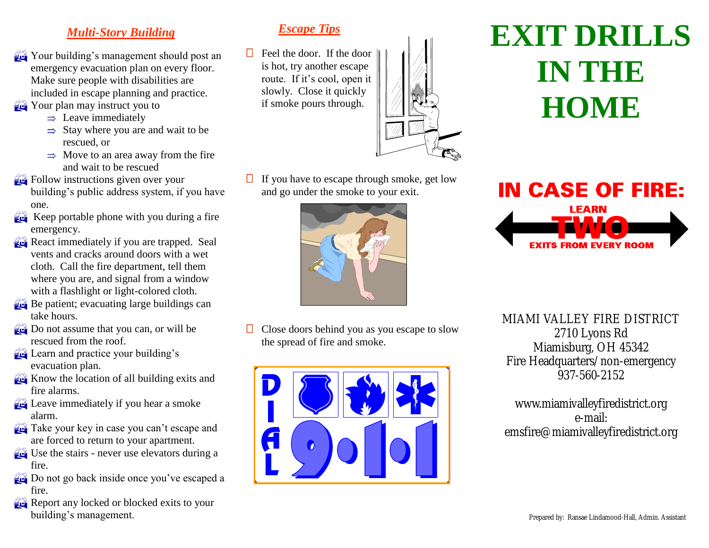#### *Multi-Story Building*

- Your building's management should post an emergency evacuation plan on every floor. Make sure people with disabilities are included in escape planning and practice.
- **The Your plan may instruct you to** 
	- $\Rightarrow$  Leave immediately
	- $\Rightarrow$  Stay where you are and wait to be rescued, or
	- $\Rightarrow$  Move to an area away from the fire and wait to be rescued
- **Follow** instructions given over your building's public address system, if you have one.
- Keep portable phone with you during a fire emergency.
- React immediately if you are trapped. Seal vents and cracks around doors with a wet cloth. Call the fire department, tell them where you are, and signal from a window with a flashlight or light-colored cloth.
- Be patient; evacuating large buildings can take hours.
- Do not assume that you can, or will be rescued from the roof.
- **Learn and practice your building's** evacuation plan.
- Know the location of all building exits and fire alarms.
- **Leave immediately if you hear a smoke** alarm.
- **Take your key in case you can't escape and** are forced to return to your apartment.
- Use the stairs never use elevators during a fire.
- Do not go back inside once you've escaped a fire.
- Report any locked or blocked exits to your building's management.

#### *Escape Tips*

 $\Box$  Feel the door. If the door is hot, try another escape route. If it's cool, open it slowly. Close it quickly if smoke pours through.



If you have to escape through smoke, get low and go under the smoke to your exit.



Close doors behind you as you escape to slow the spread of fire and smoke.



# **EXIT DRILLS IN THE 18 HOME**



MIAMI VALLEY FIRE DISTRICT 2710 Lyons Rd Miamisburg, OH 45342 Fire Headquarters/non-emergency 937-560-2152

www.miamivalleyfiredistrict.org e-mail: emsfire@miamivalleyfiredistrict.org